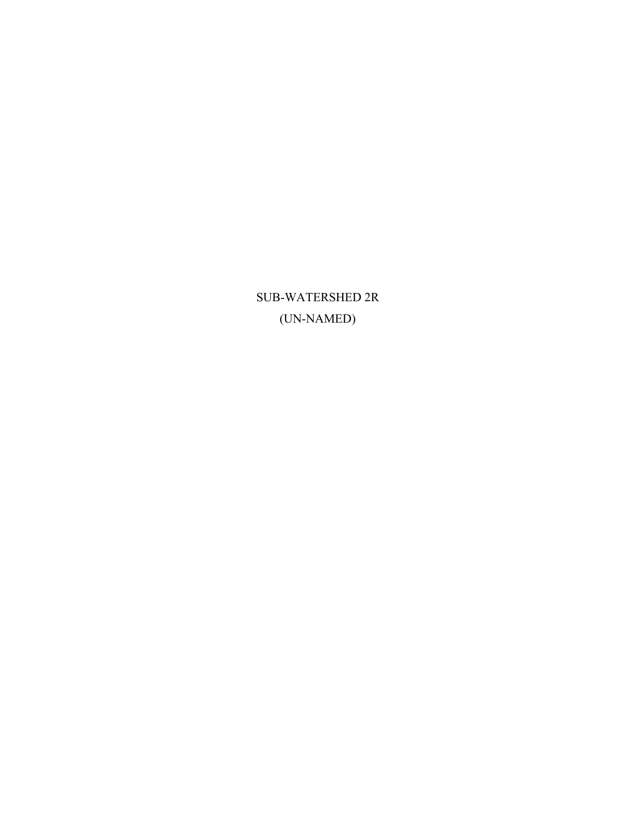SUB-WATERSHED 2R (UN-NAMED)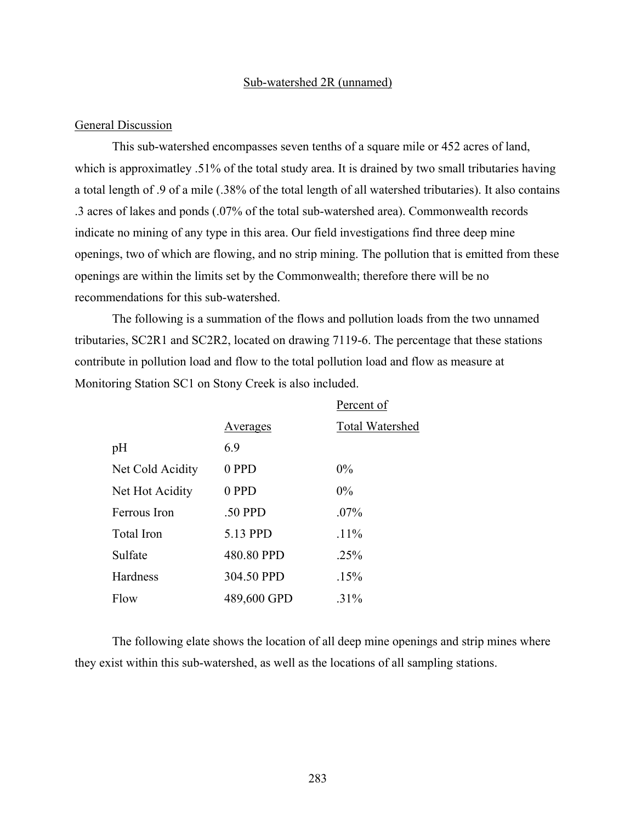#### Sub-watershed 2R (unnamed)

#### General Discussion

This sub-watershed encompasses seven tenths of a square mile or 452 acres of land, which is approximatley .51% of the total study area. It is drained by two small tributaries having a total length of .9 of a mile (.38% of the total length of all watershed tributaries). It also contains .3 acres of lakes and ponds (.07% of the total sub-watershed area). Commonwealth records indicate no mining of any type in this area. Our field investigations find three deep mine openings, two of which are flowing, and no strip mining. The pollution that is emitted from these openings are within the limits set by the Commonwealth; therefore there will be no recommendations for this sub-watershed.

The following is a summation of the flows and pollution loads from the two unnamed tributaries, SC2R1 and SC2R2, located on drawing 7119-6. The percentage that these stations contribute in pollution load and flow to the total pollution load and flow as measure at Monitoring Station SC1 on Stony Creek is also included.

|                  |                 | Percent of             |
|------------------|-----------------|------------------------|
|                  | <u>Averages</u> | <b>Total Watershed</b> |
| pH               | 6.9             |                        |
| Net Cold Acidity | 0 PPD           | $0\%$                  |
| Net Hot Acidity  | 0 PPD           | $0\%$                  |
| Ferrous Iron     | .50 PPD         | $.07\%$                |
| Total Iron       | 5.13 PPD        | $.11\%$                |
| Sulfate          | 480.80 PPD      | .25%                   |
| Hardness         | 304.50 PPD      | .15%                   |
| Flow             | 489,600 GPD     | $.31\%$                |

The following elate shows the location of all deep mine openings and strip mines where they exist within this sub-watershed, as well as the locations of all sampling stations.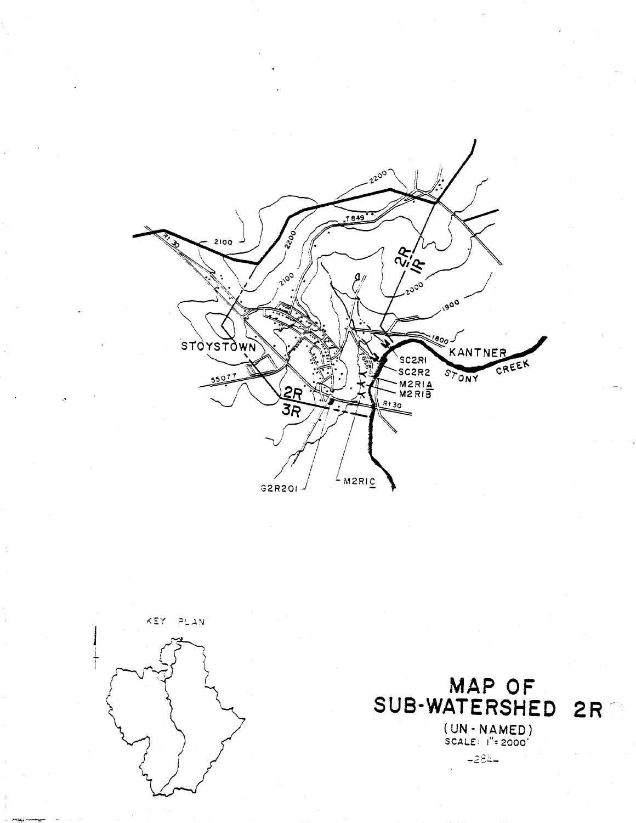



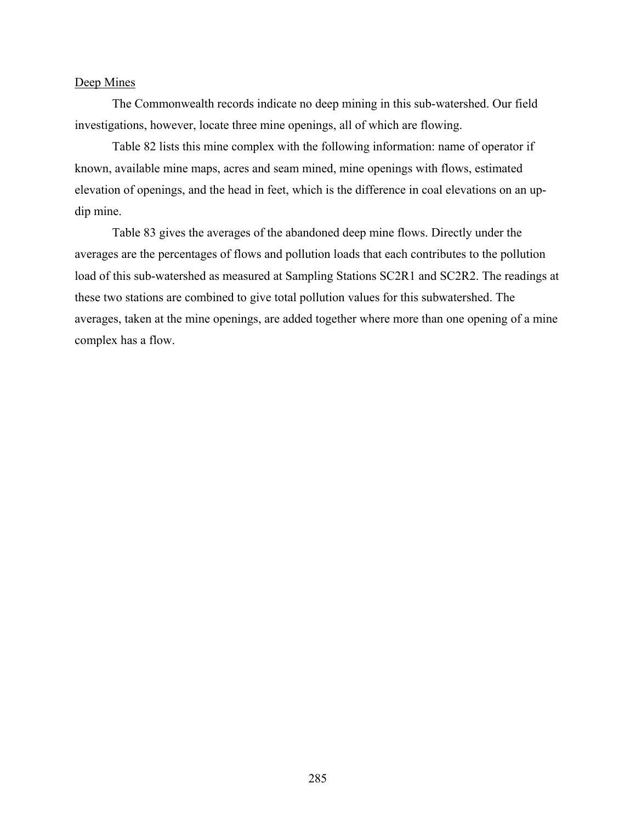#### Deep Mines

The Commonwealth records indicate no deep mining in this sub-watershed. Our field investigations, however, locate three mine openings, all of which are flowing.

Table 82 lists this mine complex with the following information: name of operator if known, available mine maps, acres and seam mined, mine openings with flows, estimated elevation of openings, and the head in feet, which is the difference in coal elevations on an updip mine.

Table 83 gives the averages of the abandoned deep mine flows. Directly under the averages are the percentages of flows and pollution loads that each contributes to the pollution load of this sub-watershed as measured at Sampling Stations SC2R1 and SC2R2. The readings at these two stations are combined to give total pollution values for this subwatershed. The averages, taken at the mine openings, are added together where more than one opening of a mine complex has a flow.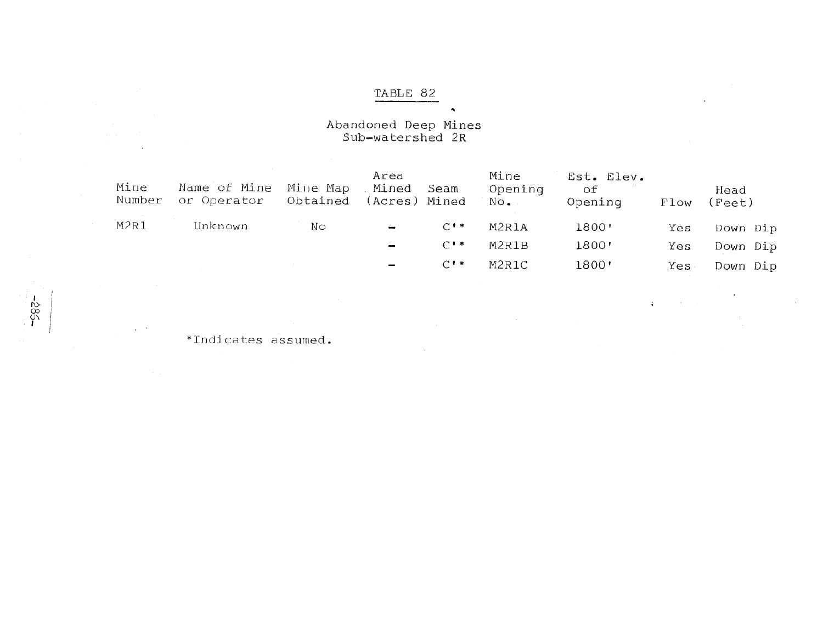# Abandoned Deep Mines<br>Sub-watershed 2R

| Mine<br>Number | Name of Mine<br>or Operator | Mine Map<br>Obtained | Area<br>. Mined<br>(Acres) Mined | Seam    | Mine<br>Opening<br>No. | Est. Elev.<br>оf<br>Opening | Flow | Head<br>(Fect) |
|----------------|-----------------------------|----------------------|----------------------------------|---------|------------------------|-----------------------------|------|----------------|
| M2R1           | Unknown                     | Nο                   | $\frac{1}{2}$                    | $C$ ! * | M2R1A                  | 1800'                       | Yes  | Down Dip       |
|                |                             |                      | $\overline{\phantom{a}}$         | $C^*$   | M2R1B                  | 1800'                       | Yes  | Down Dip       |
|                |                             |                      | $\overline{\phantom{0}}$         | $C^*$   | M2R1C                  | 1800'                       | Yes  | Down Dip       |
|                |                             |                      |                                  |         |                        |                             |      |                |

 $\mathcal{L}_{\mathcal{A}}$ 

 $4.0\times10^{11}$ 

 $\tilde{\phantom{a}}$ 

\*Indicates assumed.

 $-385 -$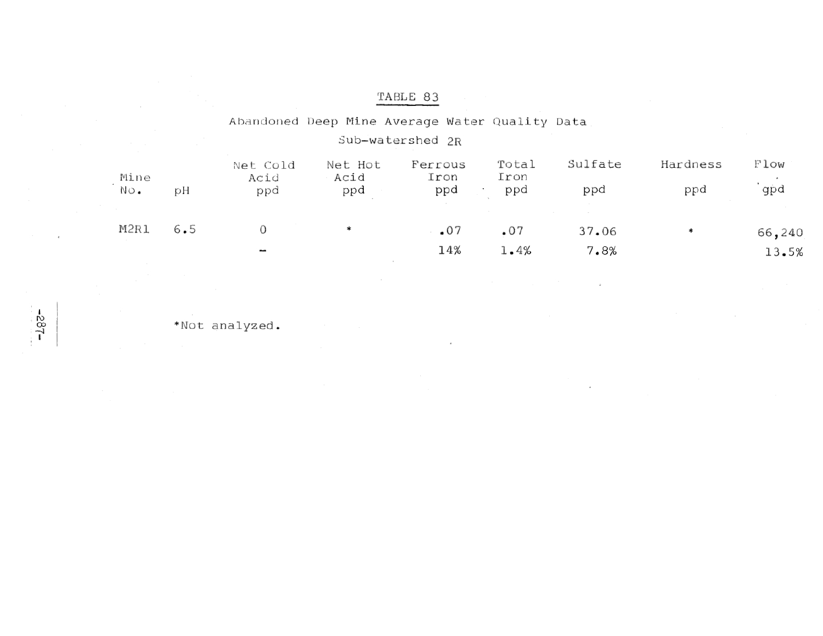| TABLE 83 |  |  |
|----------|--|--|
|          |  |  |

#### Abandoned Deep Mine Average Water Quality Data Sub-watershed 2R Sulfate Hardness Total Flow Net Cold Net Hot Ferrous Mine Acid Acid Iron Iron 'gpd  $NO<sub>o</sub>$ ppd ppd ppd ppd ppd pH ppd M2R1  $6.5$  $\mathcal O$  $\ast$  $.07$  $.07$ 37.06 66,240  $\ast$ 14%  $1\centerdot 4\%$ 7.8% 13.5%  $\overline{\phantom{a}}$

\*Not analyzed.

 $-182$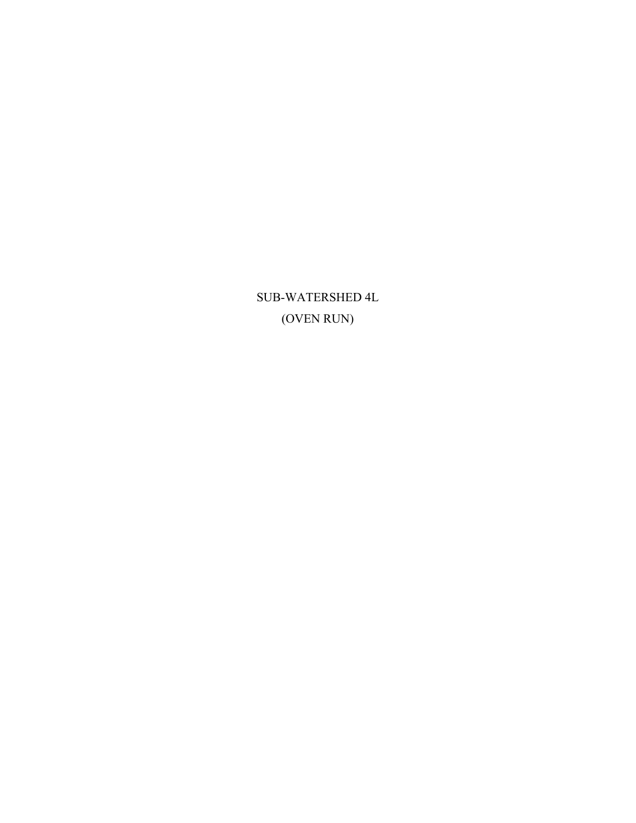SUB-WATERSHED 4L (OVEN RUN)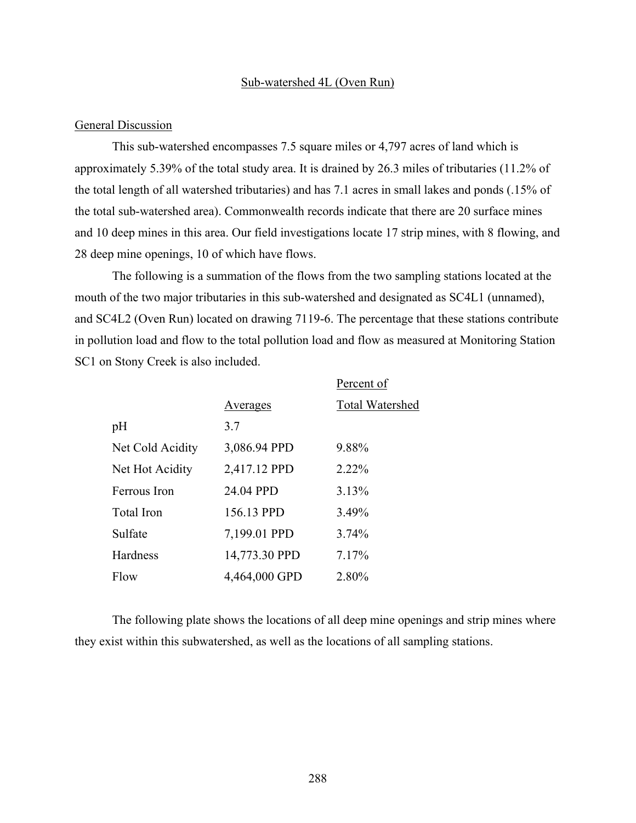#### Sub-watershed 4L (Oven Run)

#### General Discussion

This sub-watershed encompasses 7.5 square miles or 4,797 acres of land which is approximately 5.39% of the total study area. It is drained by 26.3 miles of tributaries (11.2% of the total length of all watershed tributaries) and has 7.1 acres in small lakes and ponds (.15% of the total sub-watershed area). Commonwealth records indicate that there are 20 surface mines and 10 deep mines in this area. Our field investigations locate 17 strip mines, with 8 flowing, and 28 deep mine openings, 10 of which have flows.

The following is a summation of the flows from the two sampling stations located at the mouth of the two major tributaries in this sub-watershed and designated as SC4L1 (unnamed), and SC4L2 (Oven Run) located on drawing 7119-6. The percentage that these stations contribute in pollution load and flow to the total pollution load and flow as measured at Monitoring Station SC1 on Stony Creek is also included.

|                  |               | Percent of             |
|------------------|---------------|------------------------|
|                  | Averages      | <b>Total Watershed</b> |
| pH               | 3.7           |                        |
| Net Cold Acidity | 3,086.94 PPD  | 9.88%                  |
| Net Hot Acidity  | 2,417.12 PPD  | 2.22%                  |
| Ferrous Iron     | 24.04 PPD     | 3.13%                  |
| Total Iron       | 156.13 PPD    | 3.49%                  |
| Sulfate          | 7,199.01 PPD  | 3.74%                  |
| Hardness         | 14,773.30 PPD | 7.17%                  |
| Flow             | 4,464,000 GPD | 2.80%                  |

The following plate shows the locations of all deep mine openings and strip mines where they exist within this subwatershed, as well as the locations of all sampling stations.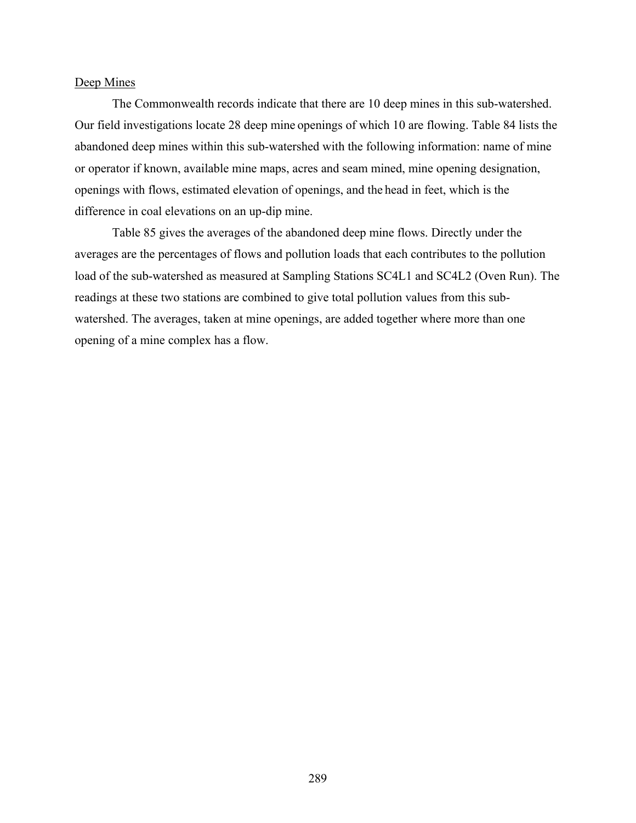#### Deep Mines

The Commonwealth records indicate that there are 10 deep mines in this sub-watershed. Our field investigations locate 28 deep mine openings of which 10 are flowing. Table 84 lists the abandoned deep mines within this sub-watershed with the following information: name of mine or operator if known, available mine maps, acres and seam mined, mine opening designation, openings with flows, estimated elevation of openings, and the head in feet, which is the difference in coal elevations on an up-dip mine.

Table 85 gives the averages of the abandoned deep mine flows. Directly under the averages are the percentages of flows and pollution loads that each contributes to the pollution load of the sub-watershed as measured at Sampling Stations SC4L1 and SC4L2 (Oven Run). The readings at these two stations are combined to give total pollution values from this subwatershed. The averages, taken at mine openings, are added together where more than one opening of a mine complex has a flow.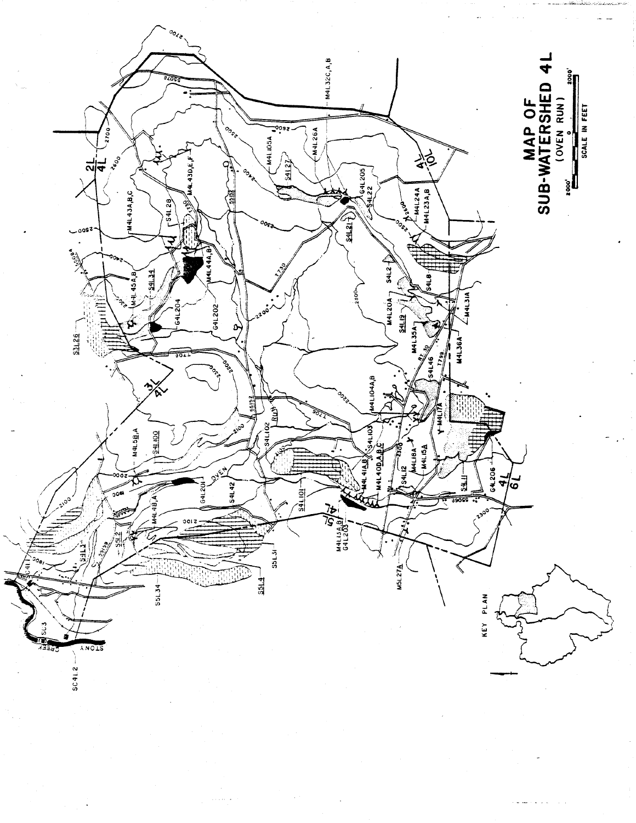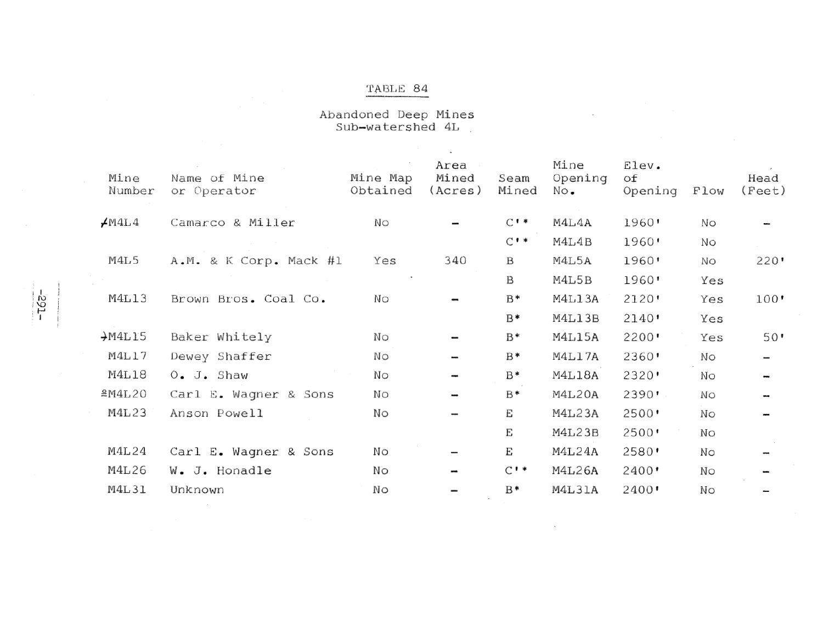## TABLE  $\,$  84  $\,$

Abandoned Deep Mines<br>Sub-watershed 4L

| Mine<br>Number        | Name of Mine<br>or Operator | Mine Map<br>Obtained | Area<br>Mined<br>(Acres) | Seam<br>Mined   | Mine<br>Opening<br>No. | Elev.<br>оf<br>Opening | Flow | Head<br>(Fect) |
|-----------------------|-----------------------------|----------------------|--------------------------|-----------------|------------------------|------------------------|------|----------------|
| $\measuredangle$ M4L4 | Camarco & Miller            | No                   |                          | $C$ $*$         | M4L4A                  | 1960'                  | No   |                |
|                       |                             |                      |                          | $C^*$           | M4L4B                  | 1960'                  | Νo   |                |
| M4L5                  | A.M. & K Corp. Mack #1      | Yes                  | 340                      | $\mathbf B$     | M4L5A                  | 1960'                  | Νo   | $220$ '        |
|                       |                             |                      |                          | $\mathbf B$     | M4L5B                  | 1960'                  | Yes  |                |
| M4L13                 | Brown Bros. Coal Co.        | No                   |                          | $B*$            | M4L13A                 | 2120'                  | Yes  | 100'           |
|                       |                             |                      |                          | $B*$            | M4L13B                 | 2140                   | Yes  |                |
| $+$ M4L15             | Baker Whitely               | No                   |                          | $B*$            | M4L15A                 | 2200                   | Yes  | $50$ '         |
| M4L17                 | Dewey Shaffer               | No                   |                          | $B*$            | M4L17A                 | 2360'                  | Νo   |                |
| M4L18                 | $O_{\bullet}$ J. Shaw       | No                   |                          | $B*$            | M4L18A                 | 2320'                  | Νo   |                |
| M4L20                 | Carl E. Wagner & Sons       | Νo                   |                          | $B*$            | M4L20A                 | 2390'                  | No   |                |
| M4L23                 | Anson Powell                | No                   |                          | E               | M4L23A                 | 2500                   | No   |                |
|                       |                             |                      |                          | E               | M4L23B                 | 2500'                  | No   |                |
| M4L24                 | Carl E. Wagner & Sons       | Nο                   | -                        | E               | M4L24A                 | 2580'                  | Νo   |                |
| M4L26                 | W. J. Honadle               | No                   |                          | $C^{\bullet *}$ | M4L26A                 | 2400'                  | Νo   |                |
| M4L31                 | Unknown                     | Νo                   |                          | $B*$            | M4L31A                 | 2400'                  | Νo   |                |
|                       |                             |                      |                          |                 |                        |                        |      |                |

 $\ddot{\phantom{0}}$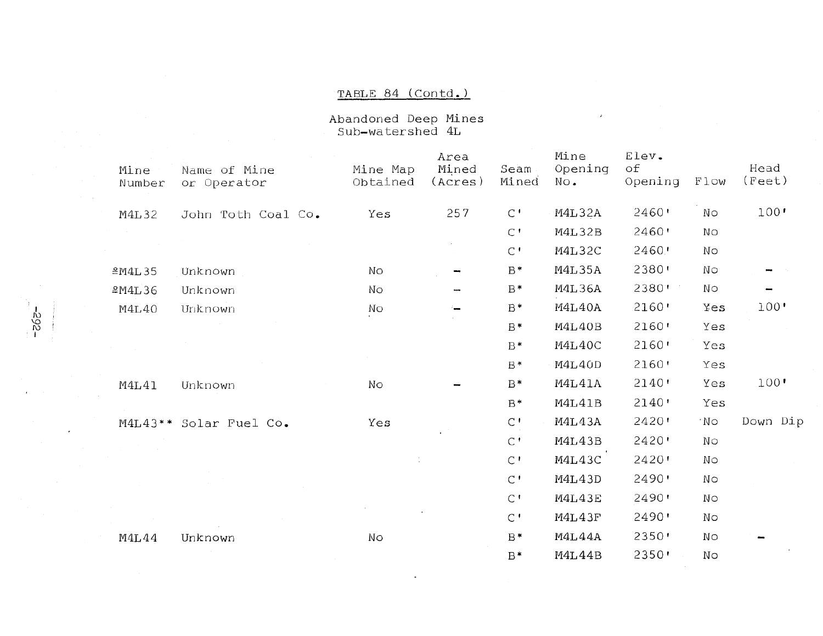#### TABLE 84 (Contd.)

Abandoned Deep Mines<br>Sub-watershed 4L

 $-392 -$ 

 $\star$ 

| Mine<br>Number | Name of Mine<br>or Operator | Mine Map<br>Obtained | Area<br>Mined<br>(Acres) | Seam<br>Mined | Mine<br>Opening<br>No. | Elev.<br>оf<br>Opening | Flow | Head<br>(Fect) |
|----------------|-----------------------------|----------------------|--------------------------|---------------|------------------------|------------------------|------|----------------|
| <b>M4L32</b>   | John Toth Coal Co.          | Yes                  | 257                      | $\mathsf{C}$  | M4L32A                 | 2460'                  | Νo   | 100'           |
|                |                             |                      |                          | $\mathcal{C}$ | <b>M4L32B</b>          | 2460'                  | No   |                |
|                |                             |                      |                          | $\mathcal{C}$ | M4L32C                 | 2460'                  | No   |                |
| M4L35          | Unknown                     | No                   |                          | $B*$          | <b>M4L35A</b>          | 2380'                  | No   |                |
| M4L36          | Unknown                     | No                   | ÷                        | $B*$          | <b>M4L36A</b>          | 2380'                  | No   |                |
| M4L40          | Unknown                     | No                   |                          | $B*$          | M4L40A                 | 2160'                  | Yes  | 100'           |
|                |                             |                      |                          | $B*$          | M4L40B                 | 2160'                  | Yes  |                |
|                |                             |                      |                          | $B*$          | M4L40C                 | 2160'                  | Yes  |                |
|                |                             |                      |                          | $B*$          | M4L40D                 | 2160'                  | Yes  |                |
| M4L41          | Unknown                     | No                   |                          | B*            | M4L41A                 | 2140'                  | Yes  | 100'           |
|                |                             |                      |                          | $B*$          | M4L41B                 | 2140'                  | Yes  |                |
| $M4L43$ **     | Solar Fuel Co.              | Yes                  |                          | $\mathsf{C}$  | M4L43A                 | $2420$ '               | 'No  | Down Dip       |
|                |                             |                      |                          | $\mathcal{C}$ | M4L43B                 | $2420$ '               | No   |                |
|                |                             |                      |                          | $C^{\bullet}$ | M4L43C                 | 2420'                  | No   |                |
|                |                             |                      |                          | $\mathcal{C}$ | M4L43D                 | 2490'                  | No   |                |
|                |                             |                      |                          | $\mathcal{C}$ | M4L43E                 | 2490                   | No   |                |
|                |                             |                      |                          | $\mathsf{C}$  | M4L43F                 | 2490'                  | No   |                |
| M4L44          | Unknown                     | No                   |                          | $B*$          | M4L44A                 | 2350                   | Νo   |                |
|                |                             |                      |                          | $B*$          | M4L44B                 | 2350'                  | No   |                |

 $\cdot$ 

 $\bar{\mathbf{z}}$ 

 $\sim$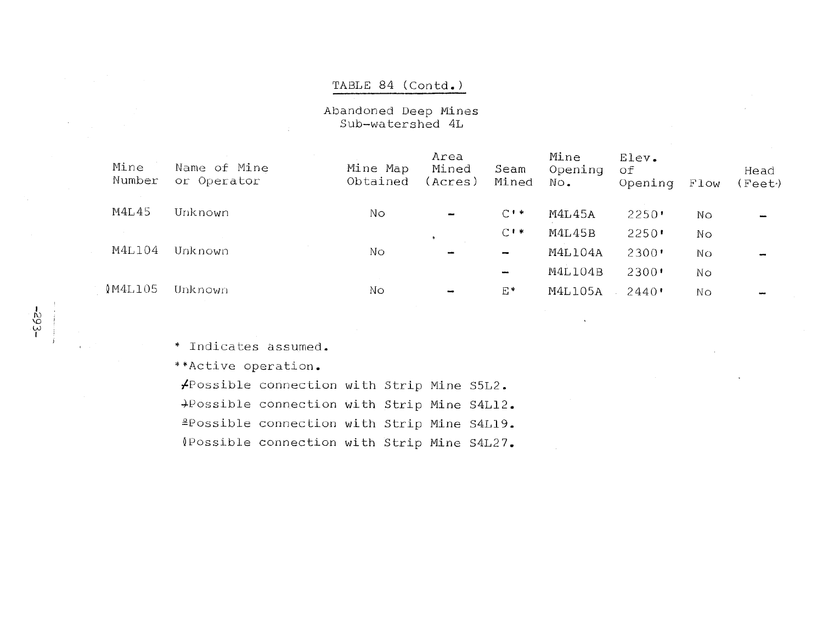#### TABLE 84 (Contd.)

Abandoned Deep Mines Sub-watershed 4L

| Mine<br>Number | Name of Mine<br>or Operator | Mine Map<br>Obtained | Area<br>Mined<br>(Acres) | Seam<br>Mined            | Mine<br>Opening<br>No. | Elev.<br>οf<br>Opening           | Flow | Head<br>(Feet) |
|----------------|-----------------------------|----------------------|--------------------------|--------------------------|------------------------|----------------------------------|------|----------------|
| M4L45          | Unknown                     | Νo                   | to and                   | $C$ $\rightarrow$        | <b>M4L45A</b>          | $2250$ <sup>t</sup>              | No   |                |
|                |                             |                      | $\ddot{\phantom{0}}$     | $C^{\bullet*}$           | M4L45B                 | 2250                             | Nο   |                |
| M4L104         | Unknown                     | No                   | $\overline{\phantom{a}}$ | -                        | M4L104A                | $2300$ '                         | No   | $\frac{1}{2}$  |
|                |                             |                      |                          | $\overline{\phantom{a}}$ | M4L104B                | $2300$ <sup><math>+</math></sup> | Νo   |                |
| (M4L105)       | Unknown                     | Nο                   | -                        | E*                       | <b>M4L105A</b>         | $2440$ '                         | No   | مسد            |
|                |                             |                      |                          |                          |                        |                                  |      |                |

\* Indicates assumed.

\*\*Active operation.

/Possible connection with Strip Mine S5L2. +Possible connection with Strip Mine S4L12. <sup>2</sup>Possible connection with Strip Mine S4L19. (Possible connection with Strip Mine S4L27.

 $-563-$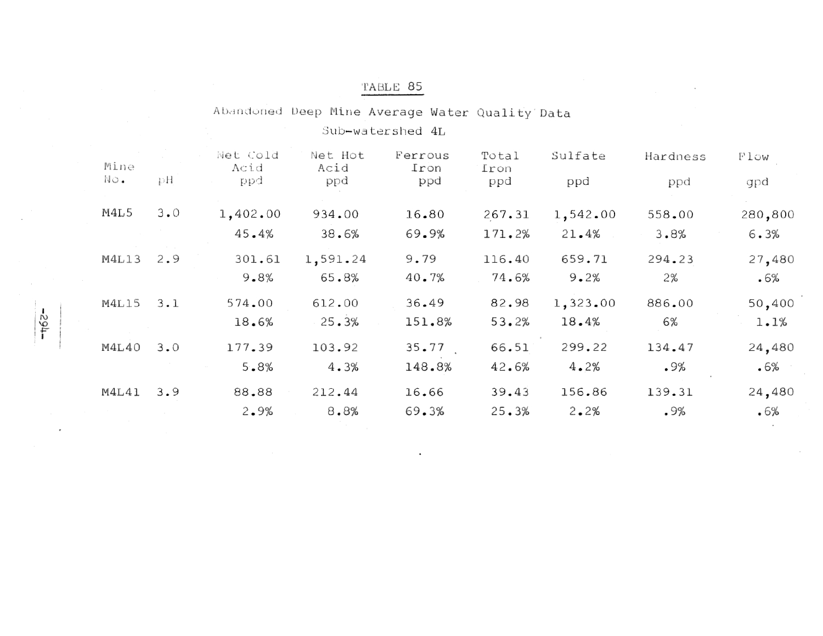Abandoned Deep Mine Average Water Quality Data

Sub-watershed 4L

| Mine<br>No. | рH          | Net Cold<br>Acid<br>ppd | Net Hot<br>Acid<br>ppd | Ferrous<br>Iron<br>ppd | Total<br>Iron<br>ppd | Sulfate<br>ppd | Hardness<br>ppd | Flow<br>gpd |
|-------------|-------------|-------------------------|------------------------|------------------------|----------------------|----------------|-----------------|-------------|
| M4L5        | $3 \cdot 0$ | 1,402.00                | 934.00                 | 16.80                  | 267.31               | 1,542.00       | 558.00          | 280,800     |
|             |             | 45.4%                   | 38.6%                  | 69.9%                  | 171.2%               | 21.4%          | 3.8%            | 6.3%        |
| M4L13       | 2.9         | 301.61                  | 1,591.24               | 9.79                   | 116.40               | 659.71         | 294.23          | 27,480      |
|             |             | 9.8%                    | 65.8%                  | 40.7%                  | 74.6%                | 9.2%           | 2%              | .6%         |
| M4L15       | $3 - 1$     | 574.00                  | 612.00                 | 36.49                  | 82.98                | 1,323.00       | 886.00          | 50,400      |
|             |             | 18.6%                   | 25.3%                  | 151.8%                 | 53.2%                | 18.4%          | 6%              | 1.1%        |
| M4L40       | 3.0         | 177.39                  | 103.92                 | 35.77                  | 66.51                | 299.22         | 134.47          | 24,480      |
|             |             | 5.8%                    | 4.3%                   | 148.8%                 | 42.6%                | 4.2%           | .9%             | .6%         |
| M4L41       | 3.9         | 88.88                   | 212.44                 | 16.66                  | 39.43                | 156.86         | 139.31          | 24,480      |
|             |             | 2.9%                    | 8.8%                   | 69.3%                  | 25.3%                | 2.2%           | .9%             | .6%         |

 $-165 -$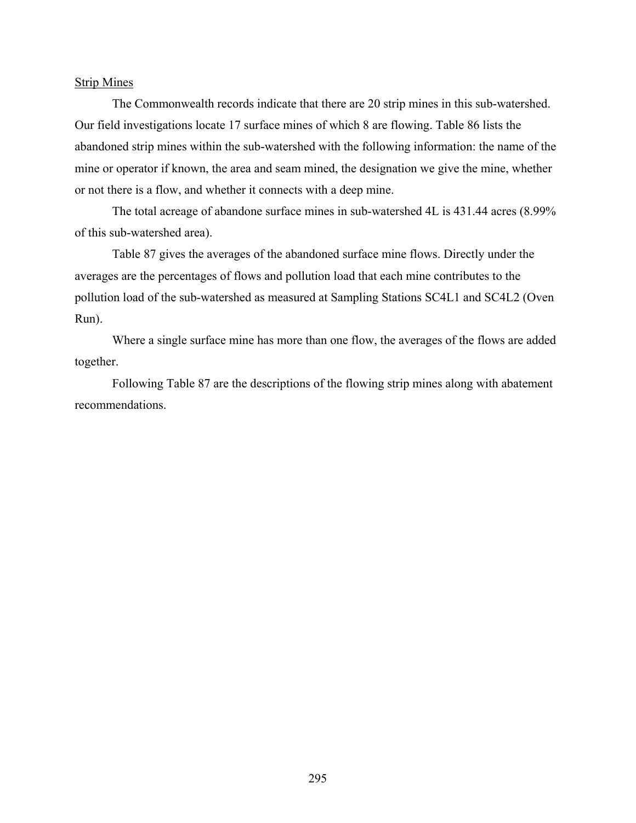#### Strip Mines

The Commonwealth records indicate that there are 20 strip mines in this sub-watershed. Our field investigations locate 17 surface mines of which 8 are flowing. Table 86 lists the abandoned strip mines within the sub-watershed with the following information: the name of the mine or operator if known, the area and seam mined, the designation we give the mine, whether or not there is a flow, and whether it connects with a deep mine.

The total acreage of abandone surface mines in sub-watershed 4L is 431.44 acres (8.99% of this sub-watershed area).

Table 87 gives the averages of the abandoned surface mine flows. Directly under the averages are the percentages of flows and pollution load that each mine contributes to the pollution load of the sub-watershed as measured at Sampling Stations SC4L1 and SC4L2 (Oven Run).

Where a single surface mine has more than one flow, the averages of the flows are added together.

Following Table 87 are the descriptions of the flowing strip mines along with abatement recommendations.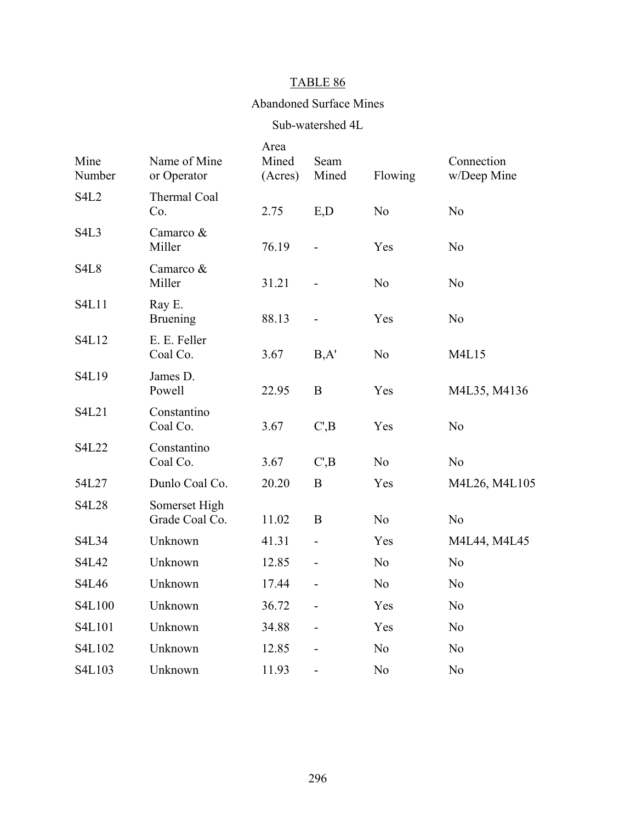#### Abandoned Surface Mines

#### Sub-watershed 4L

| Mine<br>Number                | Name of Mine<br>or Operator     | Area<br>Mined<br>(Acres) | Seam<br>Mined  | Flowing        | Connection<br>w/Deep Mine |
|-------------------------------|---------------------------------|--------------------------|----------------|----------------|---------------------------|
| <b>S4L2</b>                   | Thermal Coal<br>Co.             | 2.75                     | E,D            | N <sub>o</sub> | N <sub>o</sub>            |
| S <sub>4</sub> L <sub>3</sub> | Camarco &<br>Miller             | 76.19                    |                | Yes            | N <sub>o</sub>            |
| S <sub>4</sub> L <sub>8</sub> | Camarco &<br>Miller             | 31.21                    |                | N <sub>o</sub> | N <sub>o</sub>            |
| <b>S4L11</b>                  | Ray E.<br><b>Bruening</b>       | 88.13                    |                | Yes            | N <sub>o</sub>            |
| S4L12                         | E. E. Feller<br>Coal Co.        | 3.67                     | B, A'          | N <sub>o</sub> | M4L15                     |
| S4L19                         | James D.<br>Powell              | 22.95                    | $\bf{B}$       | Yes            | M4L35, M4136              |
| S4L21                         | Constantino<br>Coal Co.         | 3.67                     | C, B           | Yes            | N <sub>0</sub>            |
| <b>S4L22</b>                  | Constantino<br>Coal Co.         | 3.67                     | C, B           | N <sub>o</sub> | N <sub>o</sub>            |
| 54L27                         | Dunlo Coal Co.                  | 20.20                    | B              | Yes            | M4L26, M4L105             |
| <b>S4L28</b>                  | Somerset High<br>Grade Coal Co. | 11.02                    | B              | N <sub>0</sub> | N <sub>0</sub>            |
| <b>S4L34</b>                  | Unknown                         | 41.31                    | $\overline{a}$ | Yes            | M4L44, M4L45              |
| S4L42                         | Unknown                         | 12.85                    |                | N <sub>o</sub> | N <sub>o</sub>            |
| S4L46                         | Unknown                         | 17.44                    |                | N <sub>0</sub> | N <sub>o</sub>            |
| S4L100                        | Unknown                         | 36.72                    |                | Yes            | N <sub>o</sub>            |
| S4L101                        | Unknown                         | 34.88                    | $\overline{a}$ | Yes            | N <sub>0</sub>            |
| S4L102                        | Unknown                         | 12.85                    |                | N <sub>o</sub> | N <sub>o</sub>            |
| S4L103                        | Unknown                         | 11.93                    | $\blacksquare$ | N <sub>o</sub> | N <sub>o</sub>            |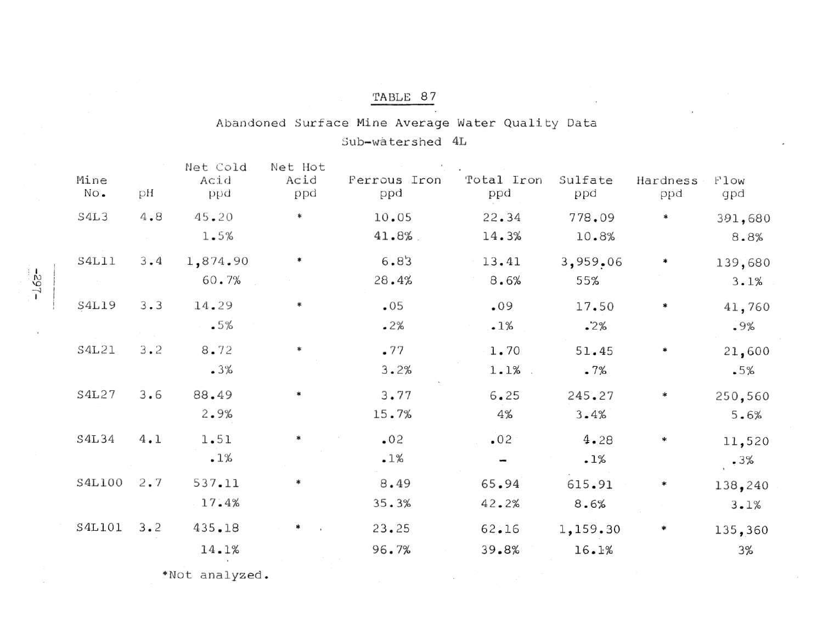### Abandoned Surface Mine Average Water Quality Data Sub-watershed 4L

| Mine<br>No. | рH          | Net Cold<br>Acid<br>ppd | Net Hot<br>Acid<br>ppd | Ferrous Iron<br>ppd | Total Iron<br>ppd | Sulfate<br>ppd | Hardness<br>ppd | Flow<br>gpd |
|-------------|-------------|-------------------------|------------------------|---------------------|-------------------|----------------|-----------------|-------------|
| S4L3        | 4.8         | 45.20                   | $\ast$                 | 10.05               | 22.34             | 778,09         | ∗               | 391,680     |
|             |             | 1.5%                    |                        | 41.8%               | 14.3%             | 10.8%          |                 | 8.8%        |
| S4L11       | $3 \cdot 4$ | 1,874.90                |                        | 6.83                | 13.41             | 3,959.06       | ∗               | 139,680     |
|             |             | 60.7%                   |                        | 28.4%               | 8.6%              | 55%            |                 | 3.1%        |
| S4L19       | $3 - 3$     | 14.29                   | *                      | .05                 | .09               | 17.50          | ∗               | 41,760      |
|             |             | .5%                     |                        | .2%                 | .1%               | $\cdot$ 2%     |                 | .9%         |
| S4L21       | $3 \cdot 2$ | 8.72                    |                        | .77                 | 1.70              | 51.45          | ∗               | 21,600      |
|             |             | .3%                     |                        | 3.2%                | 1.1%              | .7%            |                 | .5%         |
| S4L27       | 3.6         | 88.49                   |                        | 3.77                | 6.25              | 245.27         | ∗               | 250,560     |
|             |             | 2.9%                    |                        | 15.7%               | 4%                | 3.4%           |                 | 5.6%        |
| S4L34       | 4.1         | 1.51                    |                        | .02                 | .02               | 4.28           | ∗               | 11,520      |
|             |             | .1%                     |                        | .1%                 |                   | .1%            |                 | .3%         |
| S4L100      | $2 \cdot 7$ | 537.11                  |                        | 8.49                | 65.94             | 615.91         | ∗               | 138,240     |
|             |             | 17.4%                   |                        | 35.3%               | 42.2%             | 8.6%           |                 | 3.1%        |
| S4L101      | $3 \cdot 2$ | 435.18                  |                        | 23.25               | 62.16             | 1,159.30       | ₩               | 135,360     |
|             |             | 14.1%                   |                        | 96.7%               | 39.8%             | 16.1%          |                 | 3%          |
|             |             |                         |                        |                     |                   |                |                 |             |

\*Not analyzed.

 $-168$ -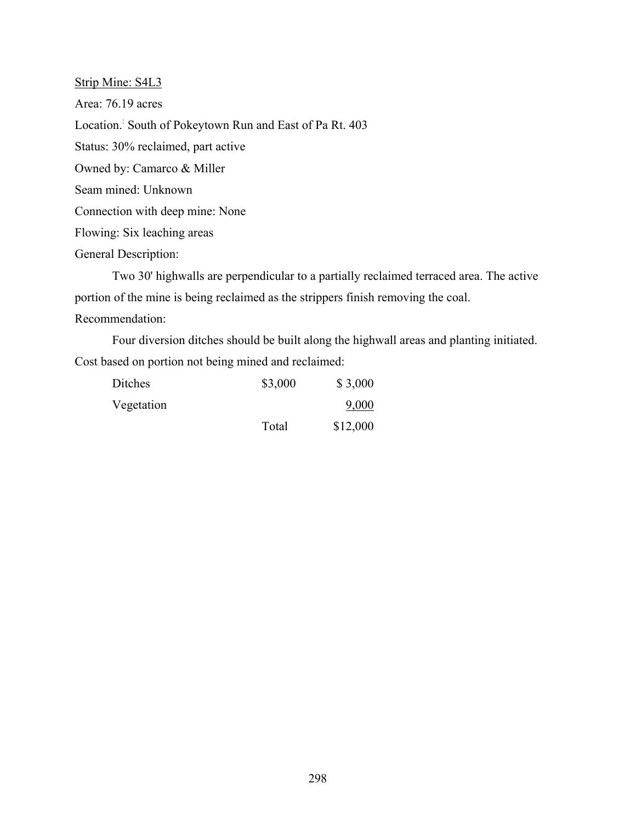Strip Mine: S4L3 Area: 76.19 acres Location. South of Pokeytown Run and East of Pa Rt. 403 Status: 30% reclaimed, part active Owned by: Camarco & Miller Seam mined: Unknown Connection with deep mine: None Flowing: Six leaching areas General Description:

Two 30' highwalls are perpendicular to a partially reclaimed terraced area. The active portion of the mine is being reclaimed as the strippers finish removing the coal. Recommendation:

Four diversion ditches should be built along the highwall areas and planting initiated. Cost based on portion not being mined and reclaimed:

| Ditches    | \$3,000 | \$3,000  |
|------------|---------|----------|
| Vegetation |         | 9,000    |
|            | Total   | \$12,000 |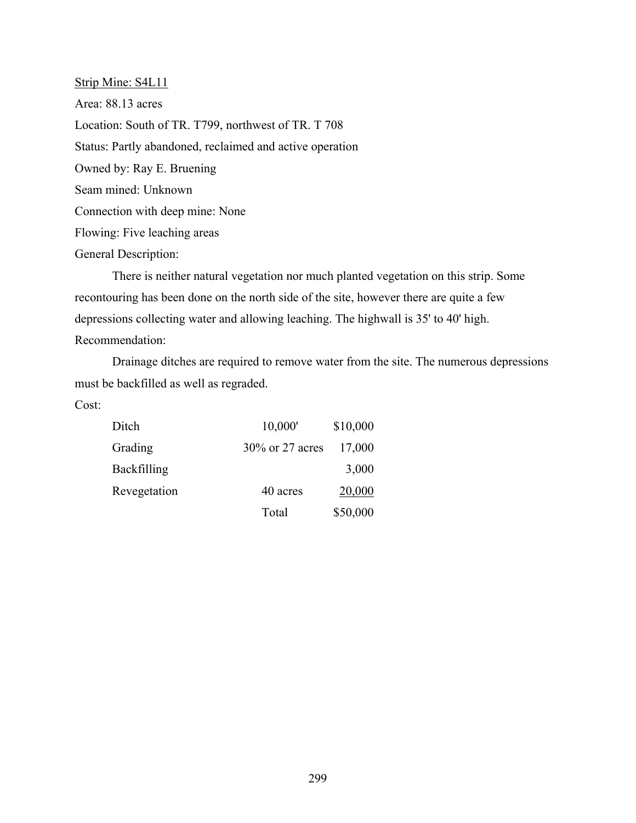Strip Mine: S4L11 Area: 88.13 acres Location: South of TR. T799, northwest of TR. T 708 Status: Partly abandoned, reclaimed and active operation Owned by: Ray E. Bruening Seam mined: Unknown Connection with deep mine: None Flowing: Five leaching areas General Description:

There is neither natural vegetation nor much planted vegetation on this strip. Some recontouring has been done on the north side of the site, however there are quite a few depressions collecting water and allowing leaching. The highwall is 35' to 40' high. Recommendation:

Drainage ditches are required to remove water from the site. The numerous depressions must be backfilled as well as regraded.

| Ditch              | 10,000'         | \$10,000 |
|--------------------|-----------------|----------|
| Grading            | 30% or 27 acres | 17,000   |
| <b>Backfilling</b> |                 | 3,000    |
| Revegetation       | 40 acres        | 20,000   |
|                    | Total           | \$50,000 |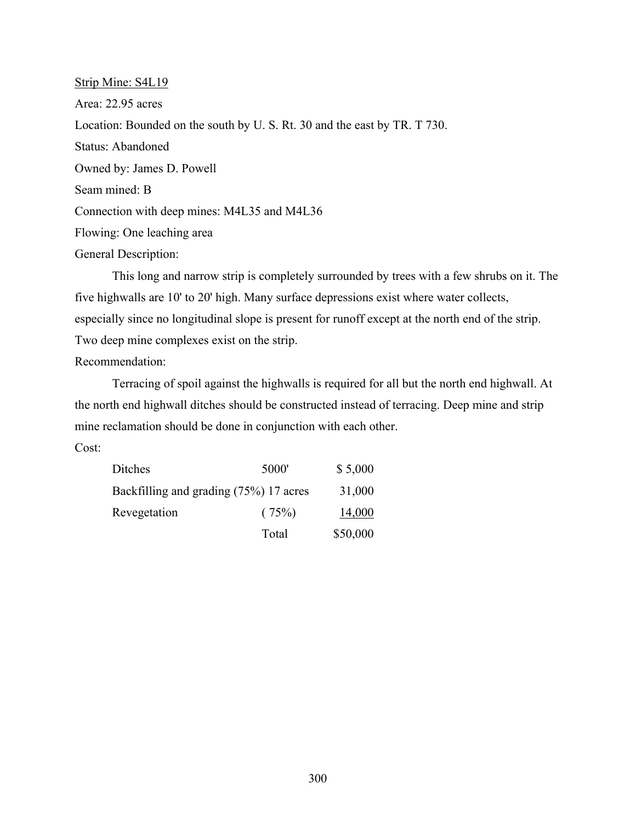Strip Mine: S4L19 Area: 22.95 acres Location: Bounded on the south by U. S. Rt. 30 and the east by TR. T 730. Status: Abandoned Owned by: James D. Powell Seam mined: B Connection with deep mines: M4L35 and M4L36 Flowing: One leaching area General Description:

This long and narrow strip is completely surrounded by trees with a few shrubs on it. The five highwalls are 10' to 20' high. Many surface depressions exist where water collects, especially since no longitudinal slope is present for runoff except at the north end of the strip. Two deep mine complexes exist on the strip.

Recommendation:

Terracing of spoil against the highwalls is required for all but the north end highwall. At the north end highwall ditches should be constructed instead of terracing. Deep mine and strip mine reclamation should be done in conjunction with each other.

| Ditches                                | 5000' | \$5,000  |
|----------------------------------------|-------|----------|
| Backfilling and grading (75%) 17 acres |       | 31,000   |
| Revegetation                           | (75%) | 14,000   |
|                                        | Total | \$50,000 |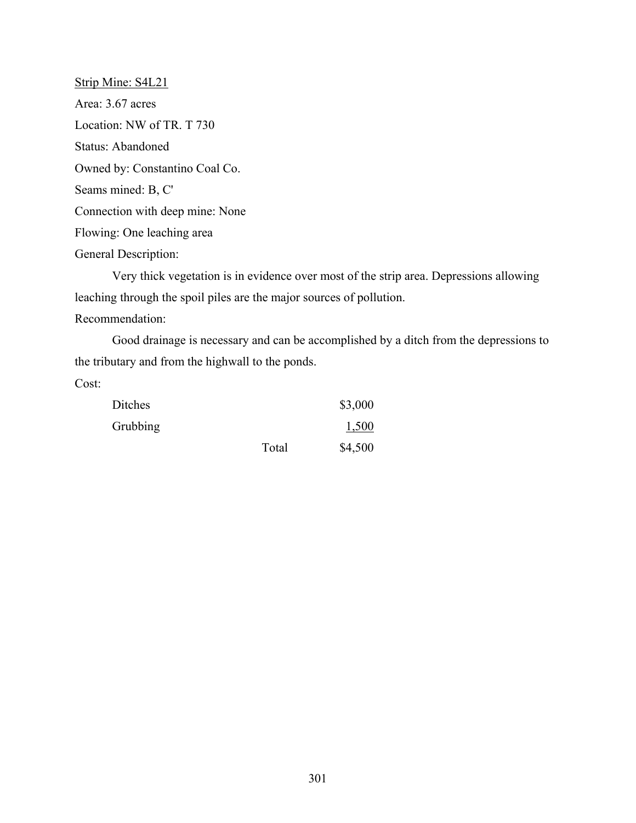Strip Mine: S4L21 Area: 3.67 acres Location: NW of TR. T 730 Status: Abandoned Owned by: Constantino Coal Co. Seams mined: B, C' Connection with deep mine: None Flowing: One leaching area General Description:

Very thick vegetation is in evidence over most of the strip area. Depressions allowing leaching through the spoil piles are the major sources of pollution. Recommendation:

Good drainage is necessary and can be accomplished by a ditch from the depressions to the tributary and from the highwall to the ponds.

| Ditches  |       | \$3,000 |
|----------|-------|---------|
| Grubbing |       | 1,500   |
|          | Total | \$4,500 |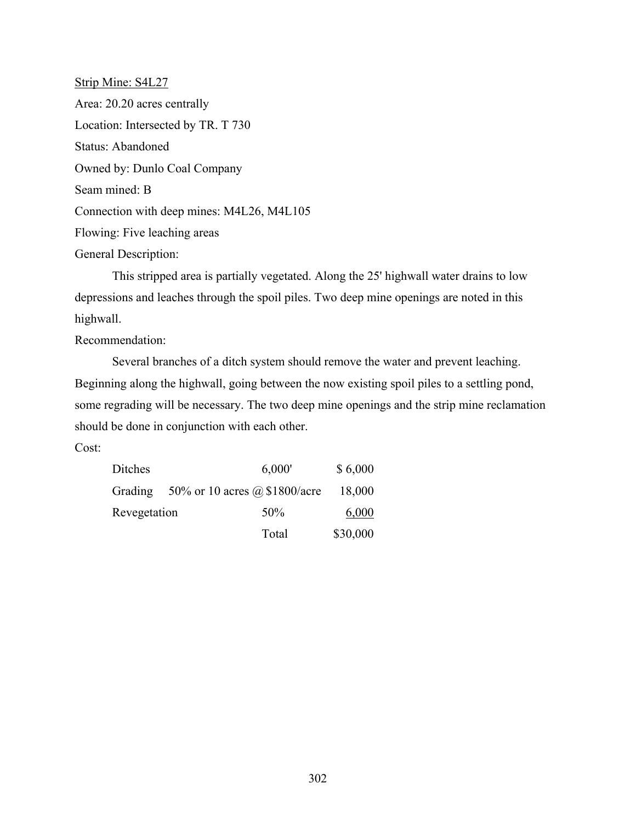Strip Mine: S4L27 Area: 20.20 acres centrally Location: Intersected by TR. T 730 Status: Abandoned Owned by: Dunlo Coal Company Seam mined: B Connection with deep mines: M4L26, M4L105 Flowing: Five leaching areas General Description:

This stripped area is partially vegetated. Along the 25' highwall water drains to low depressions and leaches through the spoil piles. Two deep mine openings are noted in this highwall.

Recommendation:

Several branches of a ditch system should remove the water and prevent leaching. Beginning along the highwall, going between the now existing spoil piles to a settling pond, some regrading will be necessary. The two deep mine openings and the strip mine reclamation should be done in conjunction with each other.

| Ditches      | 6,000'                                   | \$6,000  |
|--------------|------------------------------------------|----------|
|              | Grading $50\%$ or 10 acres @ \$1800/acre | 18,000   |
| Revegetation | 50%                                      | 6,000    |
|              | Total                                    | \$30,000 |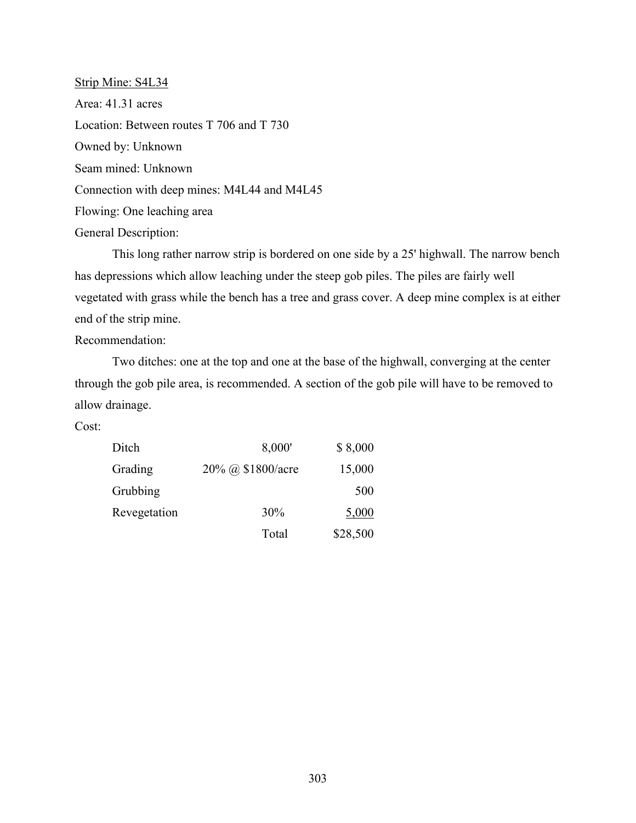Strip Mine: S4L34 Area: 41.31 acres Location: Between routes T 706 and T 730 Owned by: Unknown Seam mined: Unknown Connection with deep mines: M4L44 and M4L45 Flowing: One leaching area General Description:

This long rather narrow strip is bordered on one side by a 25' highwall. The narrow bench has depressions which allow leaching under the steep gob piles. The piles are fairly well vegetated with grass while the bench has a tree and grass cover. A deep mine complex is at either end of the strip mine.

Recommendation:

Two ditches: one at the top and one at the base of the highwall, converging at the center through the gob pile area, is recommended. A section of the gob pile will have to be removed to allow drainage.

| Ditch        | 8,000'            | \$8,000  |
|--------------|-------------------|----------|
| Grading      | 20% @ \$1800/acre | 15,000   |
| Grubbing     |                   | 500      |
| Revegetation | 30%               | 5,000    |
|              | Total             | \$28,500 |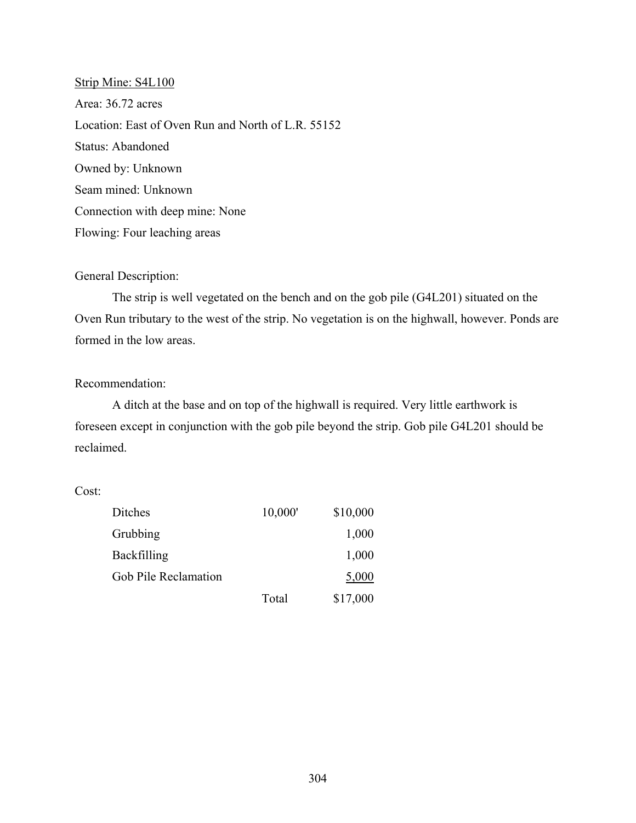Strip Mine: S4L100 Area: 36.72 acres Location: East of Oven Run and North of L.R. 55152 Status: Abandoned Owned by: Unknown Seam mined: Unknown Connection with deep mine: None Flowing: Four leaching areas

#### General Description:

The strip is well vegetated on the bench and on the gob pile (G4L201) situated on the Oven Run tributary to the west of the strip. No vegetation is on the highwall, however. Ponds are formed in the low areas.

#### Recommendation:

A ditch at the base and on top of the highwall is required. Very little earthwork is foreseen except in conjunction with the gob pile beyond the strip. Gob pile G4L201 should be reclaimed.

| Ditches              | 10,000' | \$10,000 |
|----------------------|---------|----------|
| Grubbing             |         | 1,000    |
| Backfilling          |         | 1,000    |
| Gob Pile Reclamation |         | 5,000    |
|                      | Total   | \$17,000 |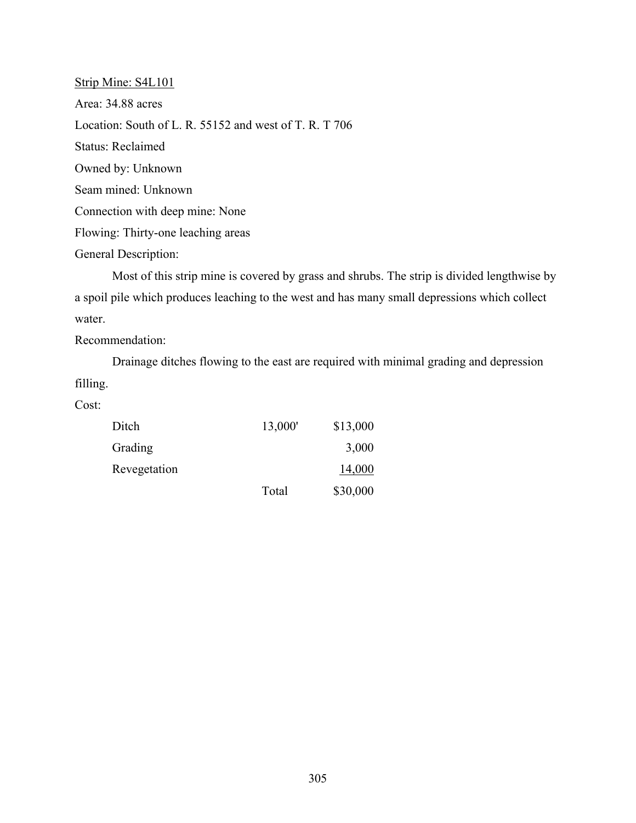Strip Mine: S4L101 Area: 34.88 acres Location: South of L. R. 55152 and west of T. R. T 706 Status: Reclaimed Owned by: Unknown Seam mined: Unknown Connection with deep mine: None Flowing: Thirty-one leaching areas General Description:

Most of this strip mine is covered by grass and shrubs. The strip is divided lengthwise by a spoil pile which produces leaching to the west and has many small depressions which collect water.

Recommendation:

Drainage ditches flowing to the east are required with minimal grading and depression filling.

| Ditch        | 13,000' | \$13,000 |
|--------------|---------|----------|
| Grading      |         | 3,000    |
| Revegetation |         | 14,000   |
|              | Total   | \$30,000 |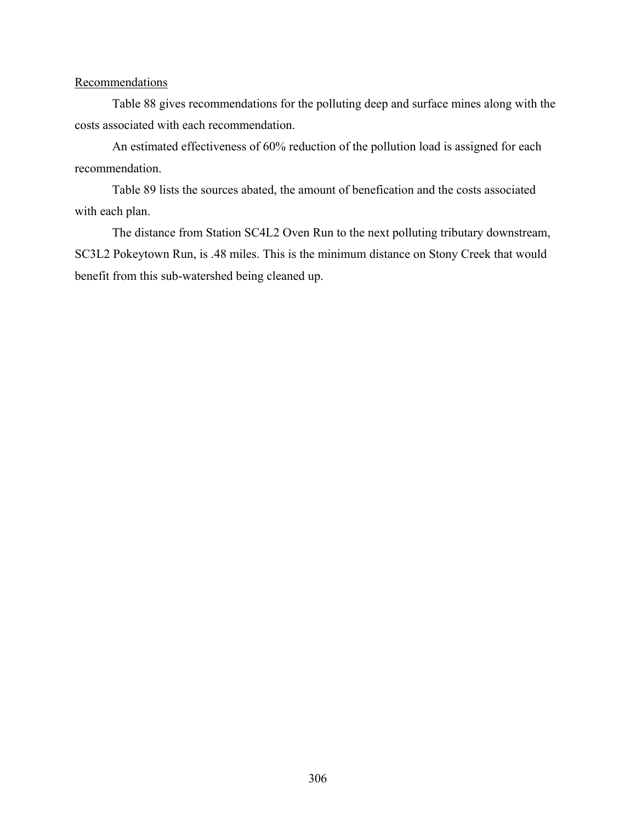#### **Recommendations**

Table 88 gives recommendations for the polluting deep and surface mines along with the costs associated with each recommendation.

An estimated effectiveness of 60% reduction of the pollution load is assigned for each recommendation.

Table 89 lists the sources abated, the amount of benefication and the costs associated with each plan.

The distance from Station SC4L2 Oven Run to the next polluting tributary downstream, SC3L2 Pokeytown Run, is .48 miles. This is the minimum distance on Stony Creek that would benefit from this sub-watershed being cleaned up.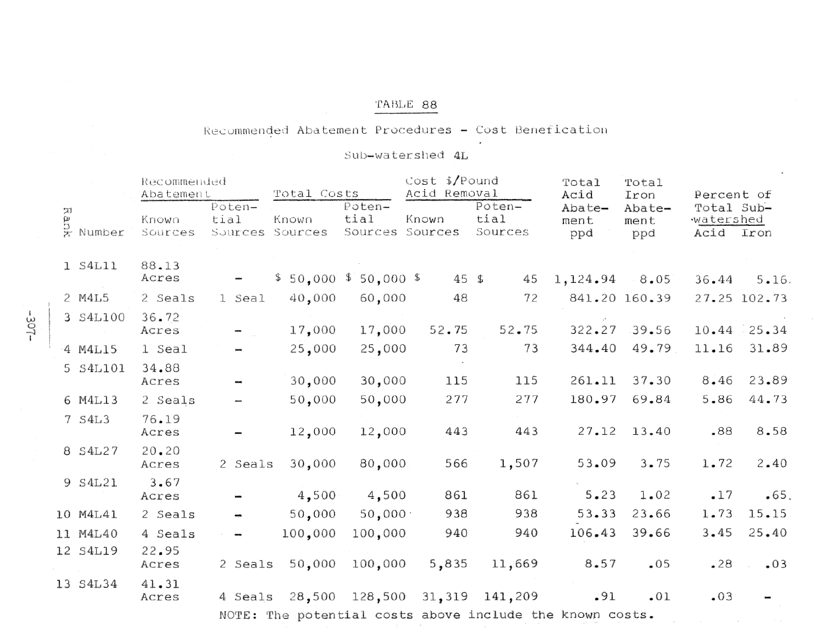#### Recommended Abatement Procedures - Cost Benefication

# Sub-watershed 4L

|        |               | Recommended<br>Abatement |                                   | Total Costs             |                                   | $Cost$ \$/Pound<br>Acid Removal |                           | Total<br>Acid                                            | Total<br>Iron         |                                 | Percent of    |  |
|--------|---------------|--------------------------|-----------------------------------|-------------------------|-----------------------------------|---------------------------------|---------------------------|----------------------------------------------------------|-----------------------|---------------------------------|---------------|--|
| 7<br>ω | B<br>R Number | Known<br>Sources         | Poten-<br>tial<br>Sources Sources | Known                   | Poten-<br>tial<br>Sources Sources | Known                           | Poten-<br>tial<br>Sources | Abate-<br>ment<br>ppd                                    | Abate-<br>ment<br>ppd | Total Sub-<br>watershed<br>Acid | Iron          |  |
|        | 1 S4L11       | 88.13<br>Acres           |                                   | $$50,000$ $$50,000$ $$$ |                                   | 45 \$                           | 45                        | $1,124.94$ 8.05                                          |                       | 36.44                           | 5.16.         |  |
|        | 2 M4L5        | 2 Seals                  | 1 Seal                            | 40,000                  | 60,000                            | 48                              | 72                        |                                                          | 841.20 160.39         |                                 | 27.25 102.73  |  |
|        | 3 S4L100      | 36.72<br>Acres           |                                   | 17,000                  | 17,000                            | 52.75                           | 52.75                     | 322.27                                                   | $-39.56$              |                                 | $10.44$ 25.34 |  |
|        | 4 M4L15       | 1 Seal                   |                                   | 25,000                  | 25,000                            | 73                              | 73                        | 344.40                                                   | 49.79                 | 11.16                           | 31.89         |  |
|        | 5 S4L101      | 34.88<br>Acres           |                                   | 30,000                  | 30,000                            | 115                             | 115                       | 261.11                                                   | 37.30                 | 8.46                            | 23.89         |  |
|        | 6 M4L13       | 2 Seals                  |                                   | 50,000                  | 50,000                            | 277                             | 277                       | 180.97                                                   | 69.84                 | 5.86                            | 44.73         |  |
|        | 7 S4L3        | 76.19<br>Acres           |                                   | 12,000                  | 12,000                            | 443                             | 443                       | 27.12                                                    | 13.40                 | .88                             | 8.58          |  |
|        | 8 S4L27       | 20.20<br>Acres           | 2 Seals                           | 30,000                  | 80,000                            | 566                             | 1,507                     | 53.09                                                    | 3.75                  | 1.72                            | 2.40          |  |
|        | 9 S4L21       | 3.67<br>Acres            |                                   | 4,500                   | 4,500                             | 861                             | 861                       | 5.23                                                     | 1.02                  | $-17$                           | .65.          |  |
|        | 10 M4L41      | 2 Seals                  |                                   | 50,000                  | 50,000                            | 938                             | 938                       | 53.33                                                    | 23.66                 | 1.73                            | 15.15         |  |
|        | 11 M4L40      | 4 Seals                  |                                   | 100,000                 | 100,000                           | 940                             | 940                       | 106.43                                                   | 39.66                 | 3.45                            | 25.40         |  |
|        | 12 S4L19      | 22.95<br>Acres           | 2 Seals                           | 50,000                  | 100,000                           | 5,835                           | 11,669                    | 8.57                                                     | .05                   | .28                             | .03           |  |
|        | 13 S4L34      | 41.31<br>Acres           | 4 Seals                           | 28,500                  |                                   | 128,500 31,319                  | 141,209                   | .91                                                      | .01                   | .03                             |               |  |
|        |               |                          |                                   |                         |                                   |                                 |                           | NOTE: The potential costs above include the known costs. |                       |                                 |               |  |